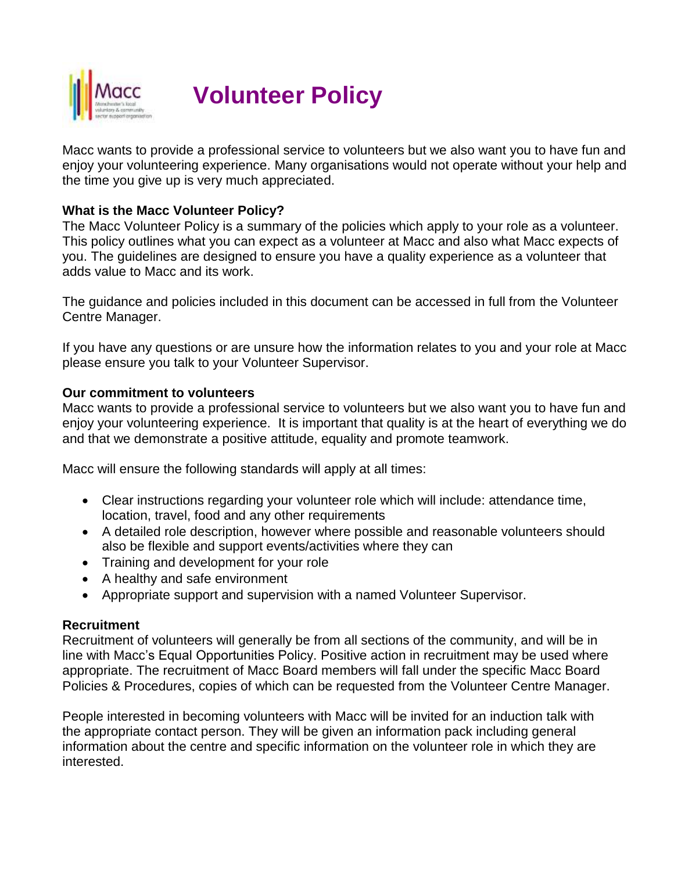

# **Volunteer Policy**

Macc wants to provide a professional service to volunteers but we also want you to have fun and enjoy your volunteering experience. Many organisations would not operate without your help and the time you give up is very much appreciated.

#### **What is the Macc Volunteer Policy?**

The Macc Volunteer Policy is a summary of the policies which apply to your role as a volunteer. This policy outlines what you can expect as a volunteer at Macc and also what Macc expects of you. The guidelines are designed to ensure you have a quality experience as a volunteer that adds value to Macc and its work.

The guidance and policies included in this document can be accessed in full from the Volunteer Centre Manager.

If you have any questions or are unsure how the information relates to you and your role at Macc please ensure you talk to your Volunteer Supervisor.

#### **Our commitment to volunteers**

Macc wants to provide a professional service to volunteers but we also want you to have fun and enjoy your volunteering experience. It is important that quality is at the heart of everything we do and that we demonstrate a positive attitude, equality and promote teamwork.

Macc will ensure the following standards will apply at all times:

- Clear instructions regarding your volunteer role which will include: attendance time, location, travel, food and any other requirements
- A detailed role description, however where possible and reasonable volunteers should also be flexible and support events/activities where they can
- Training and development for your role
- A healthy and safe environment
- Appropriate support and supervision with a named Volunteer Supervisor.

#### **Recruitment**

Recruitment of volunteers will generally be from all sections of the community, and will be in line with Macc's Equal Opportunities Policy. Positive action in recruitment may be used where appropriate. The recruitment of Macc Board members will fall under the specific Macc Board Policies & Procedures, copies of which can be requested from the Volunteer Centre Manager.

People interested in becoming volunteers with Macc will be invited for an induction talk with the appropriate contact person. They will be given an information pack including general information about the centre and specific information on the volunteer role in which they are interested.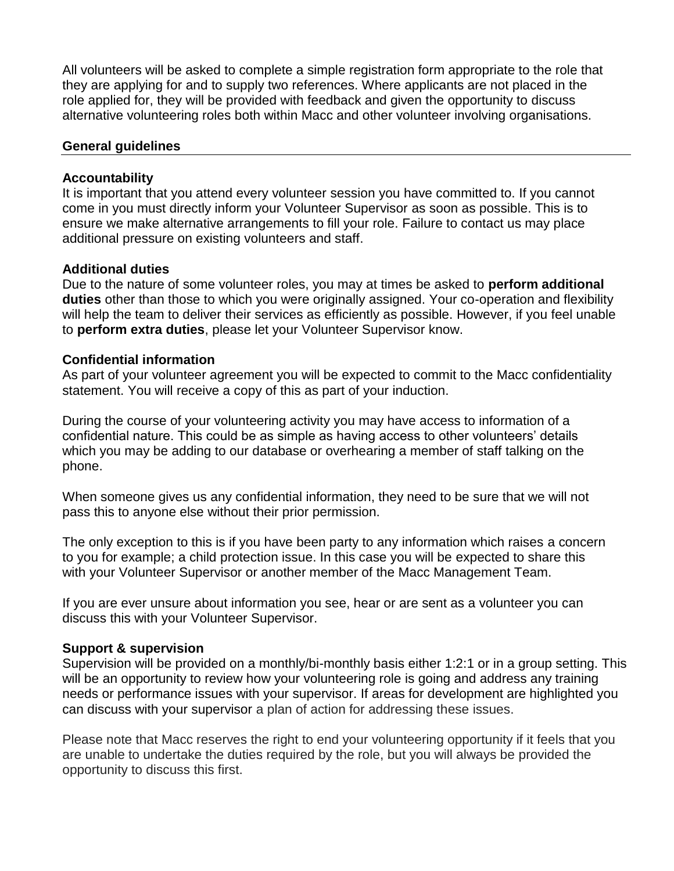All volunteers will be asked to complete a simple registration form appropriate to the role that they are applying for and to supply two references. Where applicants are not placed in the role applied for, they will be provided with feedback and given the opportunity to discuss alternative volunteering roles both within Macc and other volunteer involving organisations.

#### **General guidelines**

#### **Accountability**

It is important that you attend every volunteer session you have committed to. If you cannot come in you must directly inform your Volunteer Supervisor as soon as possible. This is to ensure we make alternative arrangements to fill your role. Failure to contact us may place additional pressure on existing volunteers and staff.

#### **Additional duties**

Due to the nature of some volunteer roles, you may at times be asked to **perform additional duties** other than those to which you were originally assigned. Your co-operation and flexibility will help the team to deliver their services as efficiently as possible. However, if you feel unable to **perform extra duties**, please let your Volunteer Supervisor know.

#### **Confidential information**

As part of your volunteer agreement you will be expected to commit to the Macc confidentiality statement. You will receive a copy of this as part of your induction.

During the course of your volunteering activity you may have access to information of a confidential nature. This could be as simple as having access to other volunteers' details which you may be adding to our database or overhearing a member of staff talking on the phone.

When someone gives us any confidential information, they need to be sure that we will not pass this to anyone else without their prior permission.

The only exception to this is if you have been party to any information which raises a concern to you for example; a child protection issue. In this case you will be expected to share this with your Volunteer Supervisor or another member of the Macc Management Team.

If you are ever unsure about information you see, hear or are sent as a volunteer you can discuss this with your Volunteer Supervisor.

#### **Support & supervision**

Supervision will be provided on a monthly/bi-monthly basis either 1:2:1 or in a group setting. This will be an opportunity to review how your volunteering role is going and address any training needs or performance issues with your supervisor. If areas for development are highlighted you can discuss with your supervisor a plan of action for addressing these issues.

Please note that Macc reserves the right to end your volunteering opportunity if it feels that you are unable to undertake the duties required by the role, but you will always be provided the opportunity to discuss this first.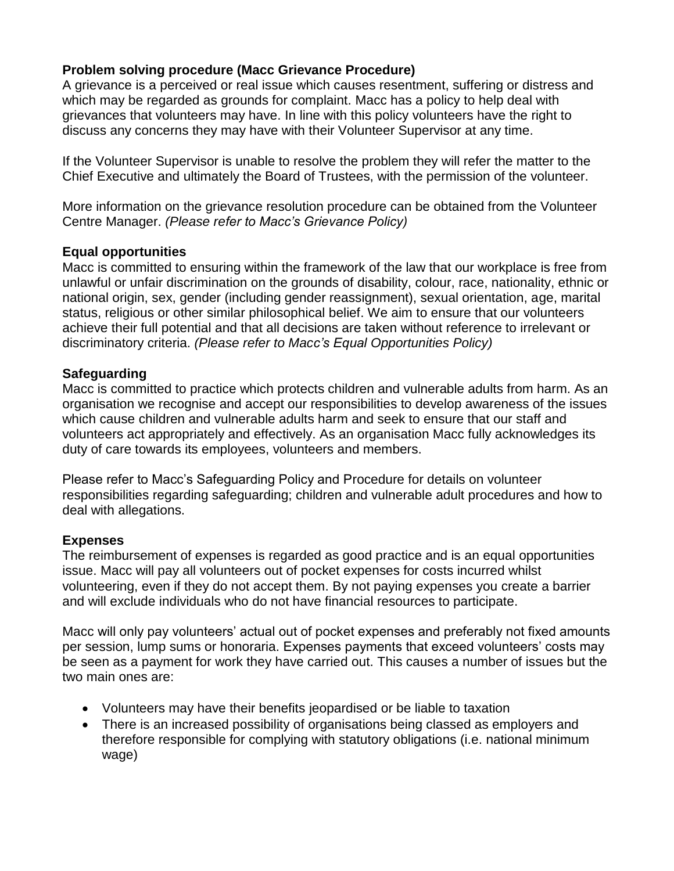# **Problem solving procedure (Macc Grievance Procedure)**

A grievance is a perceived or real issue which causes resentment, suffering or distress and which may be regarded as grounds for complaint. Macc has a policy to help deal with grievances that volunteers may have. In line with this policy volunteers have the right to discuss any concerns they may have with their Volunteer Supervisor at any time.

If the Volunteer Supervisor is unable to resolve the problem they will refer the matter to the Chief Executive and ultimately the Board of Trustees, with the permission of the volunteer.

More information on the grievance resolution procedure can be obtained from the Volunteer Centre Manager. *(Please refer to Macc's Grievance Policy)*

#### **Equal opportunities**

Macc is committed to ensuring within the framework of the law that our workplace is free from unlawful or unfair discrimination on the grounds of disability, colour, race, nationality, ethnic or national origin, sex, gender (including gender reassignment), sexual orientation, age, marital status, religious or other similar philosophical belief. We aim to ensure that our volunteers achieve their full potential and that all decisions are taken without reference to irrelevant or discriminatory criteria. *(Please refer to Macc's Equal Opportunities Policy)*

#### **Safeguarding**

Macc is committed to practice which protects children and vulnerable adults from harm. As an organisation we recognise and accept our responsibilities to develop awareness of the issues which cause children and vulnerable adults harm and seek to ensure that our staff and volunteers act appropriately and effectively. As an organisation Macc fully acknowledges its duty of care towards its employees, volunteers and members.

Please refer to Macc's Safeguarding Policy and Procedure for details on volunteer responsibilities regarding safeguarding; children and vulnerable adult procedures and how to deal with allegations.

#### **Expenses**

The reimbursement of expenses is regarded as good practice and is an equal opportunities issue. Macc will pay all volunteers out of pocket expenses for costs incurred whilst volunteering, even if they do not accept them. By not paying expenses you create a barrier and will exclude individuals who do not have financial resources to participate.

Macc will only pay volunteers' actual out of pocket expenses and preferably not fixed amounts per session, lump sums or honoraria. Expenses payments that exceed volunteers' costs may be seen as a payment for work they have carried out. This causes a number of issues but the two main ones are:

- Volunteers may have their benefits jeopardised or be liable to taxation
- There is an increased possibility of organisations being classed as employers and therefore responsible for complying with statutory obligations (i.e. national minimum wage)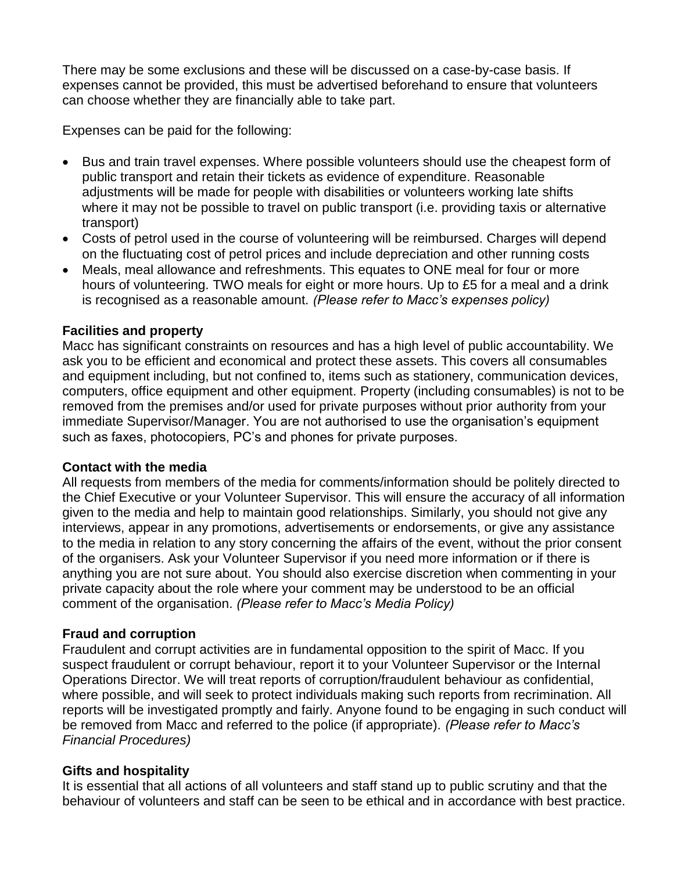There may be some exclusions and these will be discussed on a case-by-case basis. If expenses cannot be provided, this must be advertised beforehand to ensure that volunteers can choose whether they are financially able to take part.

Expenses can be paid for the following:

- Bus and train travel expenses. Where possible volunteers should use the cheapest form of public transport and retain their tickets as evidence of expenditure. Reasonable adjustments will be made for people with disabilities or volunteers working late shifts where it may not be possible to travel on public transport (i.e. providing taxis or alternative transport)
- Costs of petrol used in the course of volunteering will be reimbursed. Charges will depend on the fluctuating cost of petrol prices and include depreciation and other running costs
- Meals, meal allowance and refreshments. This equates to ONE meal for four or more hours of volunteering. TWO meals for eight or more hours. Up to £5 for a meal and a drink is recognised as a reasonable amount. *(Please refer to Macc's expenses policy)*

#### **Facilities and property**

Macc has significant constraints on resources and has a high level of public accountability. We ask you to be efficient and economical and protect these assets. This covers all consumables and equipment including, but not confined to, items such as stationery, communication devices, computers, office equipment and other equipment. Property (including consumables) is not to be removed from the premises and/or used for private purposes without prior authority from your immediate Supervisor/Manager. You are not authorised to use the organisation's equipment such as faxes, photocopiers, PC's and phones for private purposes.

#### **Contact with the media**

All requests from members of the media for comments/information should be politely directed to the Chief Executive or your Volunteer Supervisor. This will ensure the accuracy of all information given to the media and help to maintain good relationships. Similarly, you should not give any interviews, appear in any promotions, advertisements or endorsements, or give any assistance to the media in relation to any story concerning the affairs of the event, without the prior consent of the organisers. Ask your Volunteer Supervisor if you need more information or if there is anything you are not sure about. You should also exercise discretion when commenting in your private capacity about the role where your comment may be understood to be an official comment of the organisation. *(Please refer to Macc's Media Policy)*

# **Fraud and corruption**

Fraudulent and corrupt activities are in fundamental opposition to the spirit of Macc. If you suspect fraudulent or corrupt behaviour, report it to your Volunteer Supervisor or the Internal Operations Director. We will treat reports of corruption/fraudulent behaviour as confidential, where possible, and will seek to protect individuals making such reports from recrimination. All reports will be investigated promptly and fairly. Anyone found to be engaging in such conduct will be removed from Macc and referred to the police (if appropriate). *(Please refer to Macc's Financial Procedures)*

#### **Gifts and hospitality**

It is essential that all actions of all volunteers and staff stand up to public scrutiny and that the behaviour of volunteers and staff can be seen to be ethical and in accordance with best practice.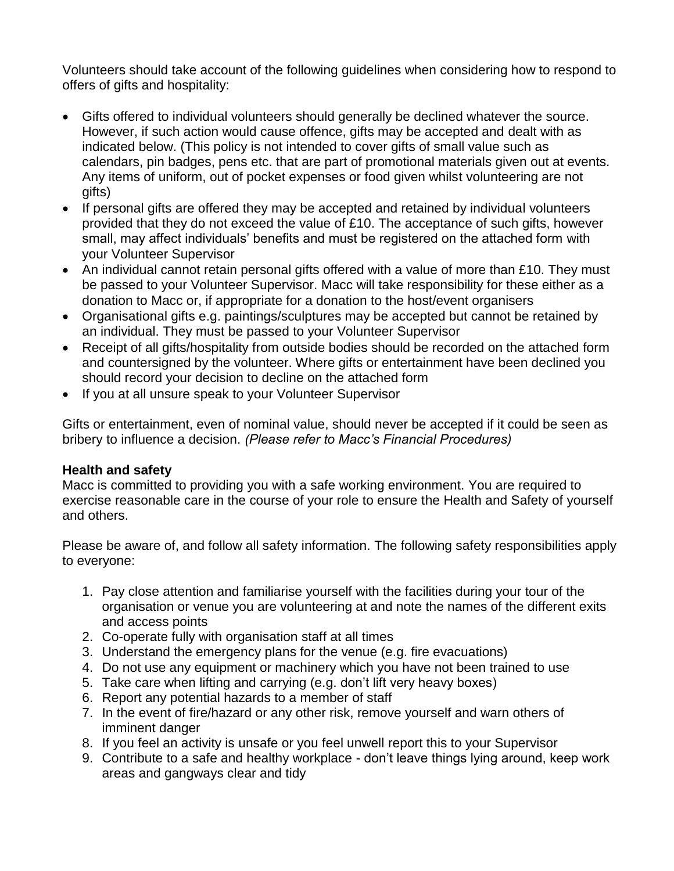Volunteers should take account of the following guidelines when considering how to respond to offers of gifts and hospitality:

- Gifts offered to individual volunteers should generally be declined whatever the source. However, if such action would cause offence, gifts may be accepted and dealt with as indicated below. (This policy is not intended to cover gifts of small value such as calendars, pin badges, pens etc. that are part of promotional materials given out at events. Any items of uniform, out of pocket expenses or food given whilst volunteering are not gifts)
- If personal gifts are offered they may be accepted and retained by individual volunteers provided that they do not exceed the value of £10. The acceptance of such gifts, however small, may affect individuals' benefits and must be registered on the attached form with your Volunteer Supervisor
- An individual cannot retain personal gifts offered with a value of more than £10. They must be passed to your Volunteer Supervisor. Macc will take responsibility for these either as a donation to Macc or, if appropriate for a donation to the host/event organisers
- Organisational gifts e.g. paintings/sculptures may be accepted but cannot be retained by an individual. They must be passed to your Volunteer Supervisor
- Receipt of all gifts/hospitality from outside bodies should be recorded on the attached form and countersigned by the volunteer. Where gifts or entertainment have been declined you should record your decision to decline on the attached form
- If you at all unsure speak to your Volunteer Supervisor

Gifts or entertainment, even of nominal value, should never be accepted if it could be seen as bribery to influence a decision. *(Please refer to Macc's Financial Procedures)*

#### **Health and safety**

Macc is committed to providing you with a safe working environment. You are required to exercise reasonable care in the course of your role to ensure the Health and Safety of yourself and others.

Please be aware of, and follow all safety information. The following safety responsibilities apply to everyone:

- 1. Pay close attention and familiarise yourself with the facilities during your tour of the organisation or venue you are volunteering at and note the names of the different exits and access points
- 2. Co-operate fully with organisation staff at all times
- 3. Understand the emergency plans for the venue (e.g. fire evacuations)
- 4. Do not use any equipment or machinery which you have not been trained to use
- 5. Take care when lifting and carrying (e.g. don't lift very heavy boxes)
- 6. Report any potential hazards to a member of staff
- 7. In the event of fire/hazard or any other risk, remove yourself and warn others of imminent danger
- 8. If you feel an activity is unsafe or you feel unwell report this to your Supervisor
- 9. Contribute to a safe and healthy workplace don't leave things lying around, keep work areas and gangways clear and tidy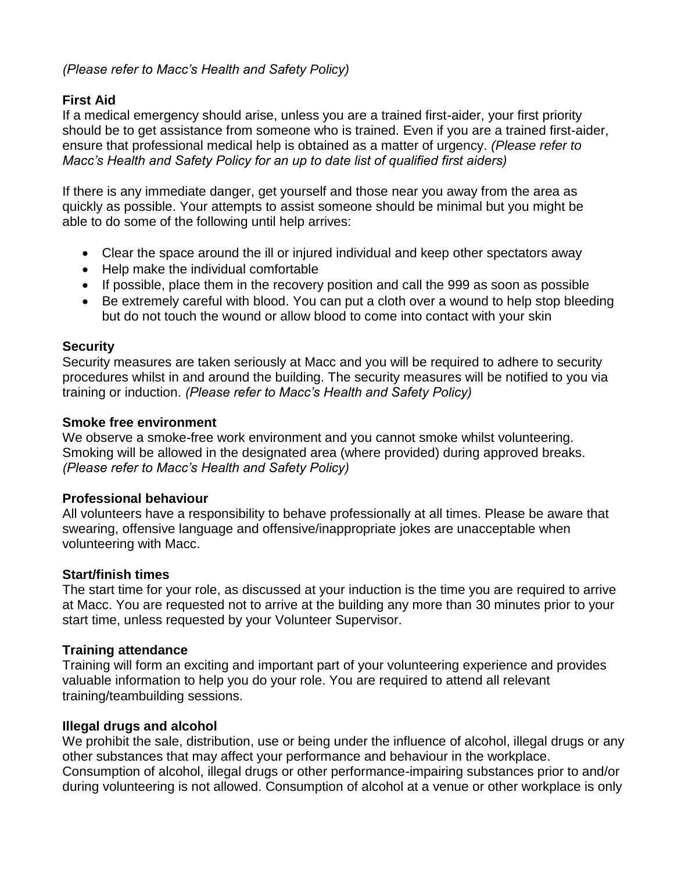## *(Please refer to Macc's Health and Safety Policy)*

# **First Aid**

If a medical emergency should arise, unless you are a trained first-aider, your first priority should be to get assistance from someone who is trained. Even if you are a trained first-aider, ensure that professional medical help is obtained as a matter of urgency. *(Please refer to Macc's Health and Safety Policy for an up to date list of qualified first aiders)*

If there is any immediate danger, get yourself and those near you away from the area as quickly as possible. Your attempts to assist someone should be minimal but you might be able to do some of the following until help arrives:

- Clear the space around the ill or injured individual and keep other spectators away
- Help make the individual comfortable
- If possible, place them in the recovery position and call the 999 as soon as possible
- Be extremely careful with blood. You can put a cloth over a wound to help stop bleeding but do not touch the wound or allow blood to come into contact with your skin

#### **Security**

Security measures are taken seriously at Macc and you will be required to adhere to security procedures whilst in and around the building. The security measures will be notified to you via training or induction. *(Please refer to Macc's Health and Safety Policy)*

#### **Smoke free environment**

We observe a smoke-free work environment and you cannot smoke whilst volunteering. Smoking will be allowed in the designated area (where provided) during approved breaks. *(Please refer to Macc's Health and Safety Policy)*

# **Professional behaviour**

All volunteers have a responsibility to behave professionally at all times. Please be aware that swearing, offensive language and offensive/inappropriate jokes are unacceptable when volunteering with Macc.

# **Start/finish times**

The start time for your role, as discussed at your induction is the time you are required to arrive at Macc. You are requested not to arrive at the building any more than 30 minutes prior to your start time, unless requested by your Volunteer Supervisor.

# **Training attendance**

Training will form an exciting and important part of your volunteering experience and provides valuable information to help you do your role. You are required to attend all relevant training/teambuilding sessions.

#### **Illegal drugs and alcohol**

We prohibit the sale, distribution, use or being under the influence of alcohol, illegal drugs or any other substances that may affect your performance and behaviour in the workplace. Consumption of alcohol, illegal drugs or other performance-impairing substances prior to and/or during volunteering is not allowed. Consumption of alcohol at a venue or other workplace is only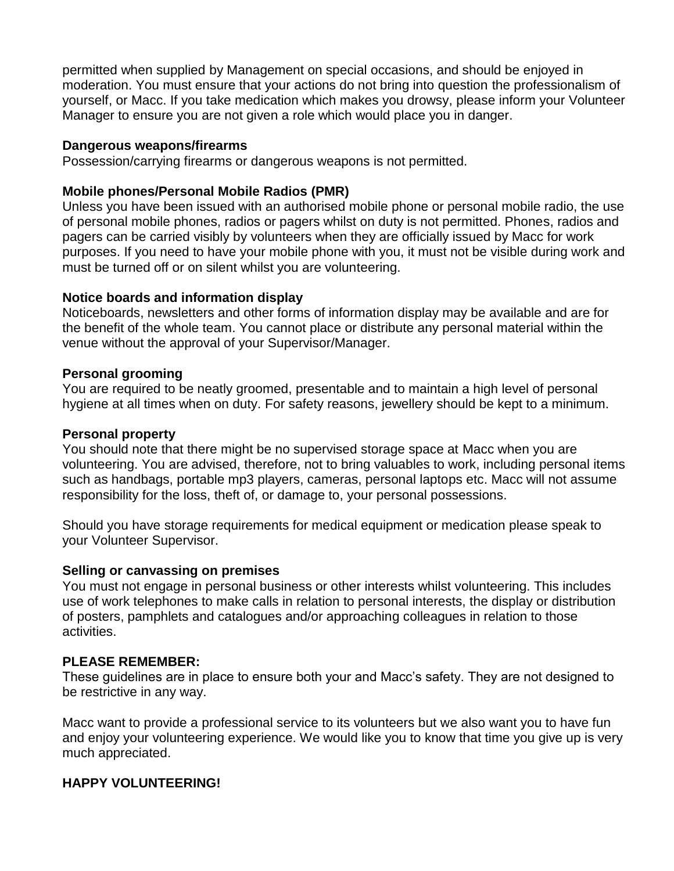permitted when supplied by Management on special occasions, and should be enjoyed in moderation. You must ensure that your actions do not bring into question the professionalism of yourself, or Macc. If you take medication which makes you drowsy, please inform your Volunteer Manager to ensure you are not given a role which would place you in danger.

#### **Dangerous weapons/firearms**

Possession/carrying firearms or dangerous weapons is not permitted.

#### **Mobile phones/Personal Mobile Radios (PMR)**

Unless you have been issued with an authorised mobile phone or personal mobile radio, the use of personal mobile phones, radios or pagers whilst on duty is not permitted. Phones, radios and pagers can be carried visibly by volunteers when they are officially issued by Macc for work purposes. If you need to have your mobile phone with you, it must not be visible during work and must be turned off or on silent whilst you are volunteering.

#### **Notice boards and information display**

Noticeboards, newsletters and other forms of information display may be available and are for the benefit of the whole team. You cannot place or distribute any personal material within the venue without the approval of your Supervisor/Manager.

#### **Personal grooming**

You are required to be neatly groomed, presentable and to maintain a high level of personal hygiene at all times when on duty. For safety reasons, jewellery should be kept to a minimum.

#### **Personal property**

You should note that there might be no supervised storage space at Macc when you are volunteering. You are advised, therefore, not to bring valuables to work, including personal items such as handbags, portable mp3 players, cameras, personal laptops etc. Macc will not assume responsibility for the loss, theft of, or damage to, your personal possessions.

Should you have storage requirements for medical equipment or medication please speak to your Volunteer Supervisor.

#### **Selling or canvassing on premises**

You must not engage in personal business or other interests whilst volunteering. This includes use of work telephones to make calls in relation to personal interests, the display or distribution of posters, pamphlets and catalogues and/or approaching colleagues in relation to those activities.

#### **PLEASE REMEMBER:**

These guidelines are in place to ensure both your and Macc's safety. They are not designed to be restrictive in any way.

Macc want to provide a professional service to its volunteers but we also want you to have fun and enjoy your volunteering experience. We would like you to know that time you give up is very much appreciated.

#### **HAPPY VOLUNTEERING!**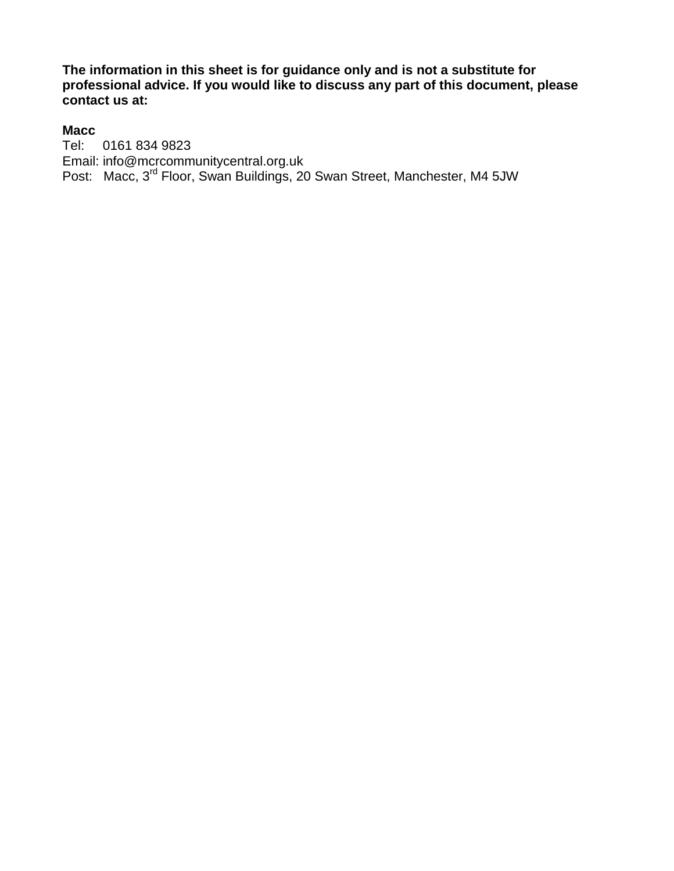**The information in this sheet is for guidance only and is not a substitute for professional advice. If you would like to discuss any part of this document, please contact us at:** 

#### **Macc**

Tel: 0161 834 9823 Email: [info@mcrcommunitycentral.org.uk](mailto:info@mcrcommunitycentral.org.uk) Post: Macc, 3<sup>rd</sup> Floor, Swan Buildings, 20 Swan Street, Manchester, M4 5JW